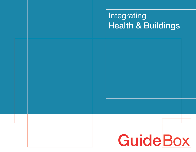## Integrating **Health & Buildings**

# **GuideBox**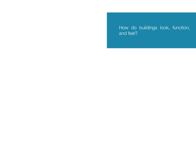How do buildings look, function, and feel?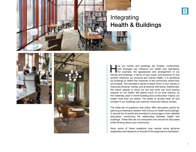

# Health & Buildings





ow our homes and buildings are located, constructed, and arranged can influence our health and well-being.<br>For example, the appearance and arrangement of our homes and buildings, in terms of size, scale, and proximity to o and arranged can influence our health and well-being. For example, the appearance and arrangement of our homes and buildings, in terms of size, scale, and proximity to one another influence our physical and mental health. It is beneficial for buildings to reflect the character of the community where they are located. This provides a sense of place which in turn results in improved physical, mental, and emotional well-being. Additionally, the indoor spaces in which we live and work can have serious impacts on our health. We spend much of our time indoors, so the materials used in home-building and construction impact our health more than we realize. The ability to access fresh air and sunlight in our buildings can improve mood and reduce anxiety.

The initial set of questions that follow offer discussion points for planning a meeting or session with a focus on health and buildings. A second list of points are provided to encourage a more detailed discussion concerning the relationship between health and buildings. These lists are not exhaustive and should be discussed while thinking about your community.

Note, some of these questions may require some advance preparation and research on the part of the organizers or facilitators.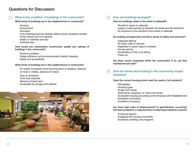## Questions for Discussion

#### What is the condition of buildings in the community? 1

What kinds of buildings are in the neighborhood or community?

**Housing** 

Employment

Education

Civic buildings (such as, libraries, district courts, recreation centers)

Public places and civic spaces Health or wellness services

Entertainment

How would you characterize construction quality and upkeep of buildings in the community?

Physical condition Energy efficiency and environmentally friendly materials Safety and accessibility

#### What kinds of buildings are in the neighborhood or community?

Air quality (contained wood-burning stove or fireplace, absence of mold or mildew, absence of radon)

Type of ventilation Toxic-free materials Absence of lead paint Accessible for all ages and abilities



#### How are buildings arranged?  $|2|$

#### How do buildings relate to the street or sidewalk?

Storefront opens to sidewalk Large or small parking lot between the street and the storefront No entrance to the storefront from street or sidewalk

#### Do building arrangements provide a sense of safety and welcome?

Adequate lighting No blank walls or alcoves Vegetation or green space is present Human activity Accessible on foot or by biking Public art

Are there vacant properties within the community? If so, are they maintained and safe?

#### How do homes and housing in the community impact residents? 3

#### Does the current housing stock meet the needs of all residents?

Affordability Housing types Single-unit homes Apartments, duplexes, or multi-unit homes Accessible housing (according to the American with Disabilities Act) Availability of housing Condition of housing

Are there high rates of displacement? Is gentrification occurring? Are there programs or opportunities to help keep residents in place?

Financing options Engaging with housing nonprofits Accessory dwelling unit programs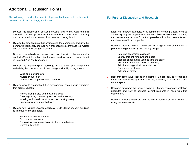## Additional Discussion Points

The following are in-depth discussion topics with a focus on the relationship between heath and buildings, and homes.

- $\Box$  Discuss the relationship between housing and health. Continue this discussion on how opportunities for affordable and other types of housing can be included in the community to ensure housing for all.
- Discuss building features that characterize the community and give the  $\Box$ community its identity. Discuss how those features contribute to physical and emotional well-being of residents.
- Discuss how mixed-use development would work in the community  $\Box$ context. (More information about mixed-use development can be found in Section 5.1 in *The Guidebook*)
- $\Box$ Discuss the relationship of buildings to the street and impacts on walkability. Discuss what would encourage walkability along streets.
	- Wide or large windows Murals or public art Variety of building colors and materials
- $\Box$ Discuss ways to ensure that future development meets design standards that promote health.

Amend plan policies and the zoning code Creating strong community support and advocacy Working with developers that support healthy design Engaging with your local officials

 $\Box$ Discuss how to utilize vacant properties or underutilized space in buildings to improve health and safety.

> Promote infill on vacant lots Community task force Nonprofit or government organizations or initiatives Community grants

#### For Further Discussion and Research

- $\Box$  Look into different examples of a community creating a task force to address quality and appearance concerns. Discuss how the community can create a similar task force that provides minor improvements and maintenance of local properties.
- Research how to retrofit homes and buildings in the community to  $\Box$ promote energy efficiency and healthy design.

Safe and accessible staircases Energy efficient windows and doors Signage encouraging users to take the stairs Additional indoor and outdoor greenery Addition of large windows and doors Courtyards or plazas Addition of ramps

- $\Box$ Research restorative spaces in buildings. Explore how to create and implement restorative spaces in schools, churches, or other public and neutral spaces.
- Research programs that provide home air filtration system or ventilation  $\Box$ upgrades and how to connect current residents in need with this opportunity.
- Research building materials and the health benefits or risks related to  $\Box$ using certain materials.